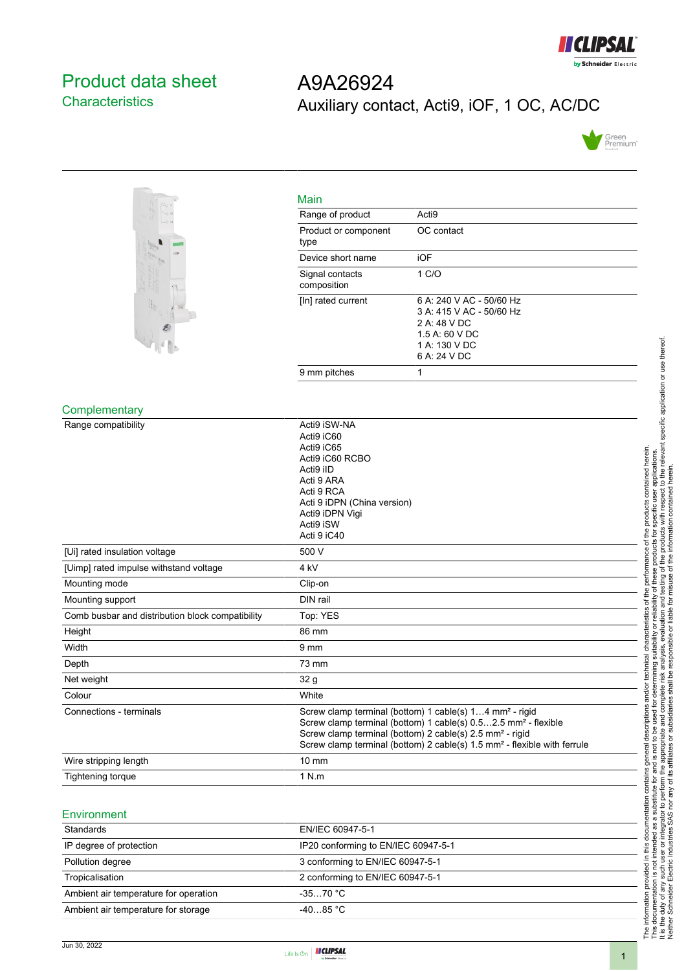

# <span id="page-0-0"></span>Product data sheet **Characteristics**

# A9A26924 Auxiliary contact, Acti9, iOF, 1 OC, AC/DC





| Main                           |                                                                                                                         |
|--------------------------------|-------------------------------------------------------------------------------------------------------------------------|
| Range of product               | Acti <sub>9</sub>                                                                                                       |
| Product or component<br>type   | OC contact                                                                                                              |
| Device short name              | iOF                                                                                                                     |
| Signal contacts<br>composition | 1 C/O                                                                                                                   |
| [In] rated current             | 6 A: 240 V AC - 50/60 Hz<br>3 A: 415 V AC - 50/60 Hz<br>2 A: 48 V DC<br>1.5 A: 60 V DC<br>1 A: 130 V DC<br>6 A: 24 V DC |
| 9 mm pitches                   | 1                                                                                                                       |

#### **Complementary**

| Range compatibility                              | Acti9 iSW-NA<br>Acti9 iC60<br>Acti9 iC65<br>Acti9 iC60 RCBO<br>Acti9 iID<br>Acti 9 ARA<br>Acti 9 RCA                                                                                                                                                                                                              |
|--------------------------------------------------|-------------------------------------------------------------------------------------------------------------------------------------------------------------------------------------------------------------------------------------------------------------------------------------------------------------------|
|                                                  | Acti 9 iDPN (China version)                                                                                                                                                                                                                                                                                       |
|                                                  | Acti9 iDPN Vigi<br>Acti9 iSW                                                                                                                                                                                                                                                                                      |
|                                                  | Acti 9 iC40                                                                                                                                                                                                                                                                                                       |
| [Ui] rated insulation voltage                    | 500 V                                                                                                                                                                                                                                                                                                             |
| [Uimp] rated impulse withstand voltage           | 4 <sub>kV</sub>                                                                                                                                                                                                                                                                                                   |
| Mounting mode                                    | Clip-on                                                                                                                                                                                                                                                                                                           |
| Mounting support                                 | DIN rail                                                                                                                                                                                                                                                                                                          |
| Comb busbar and distribution block compatibility | Top: YES                                                                                                                                                                                                                                                                                                          |
| Height                                           | 86 mm                                                                                                                                                                                                                                                                                                             |
| Width                                            | 9 <sub>mm</sub>                                                                                                                                                                                                                                                                                                   |
| Depth                                            | 73 mm                                                                                                                                                                                                                                                                                                             |
| Net weight                                       | 32 <sub>g</sub>                                                                                                                                                                                                                                                                                                   |
| Colour                                           | White                                                                                                                                                                                                                                                                                                             |
| Connections - terminals                          | Screw clamp terminal (bottom) 1 cable(s) 14 mm <sup>2</sup> - rigid<br>Screw clamp terminal (bottom) 1 cable(s) 0.52.5 mm <sup>2</sup> - flexible<br>Screw clamp terminal (bottom) 2 cable(s) 2.5 mm <sup>2</sup> - rigid<br>Screw clamp terminal (bottom) 2 cable(s) 1.5 mm <sup>2</sup> - flexible with ferrule |
| Wire stripping length                            | $10 \text{ mm}$                                                                                                                                                                                                                                                                                                   |
| Tightening torque                                | 1 N.m                                                                                                                                                                                                                                                                                                             |

#### Environment

| Standards                             | EN/IEC 60947-5-1                    |
|---------------------------------------|-------------------------------------|
| IP degree of protection               | IP20 conforming to EN/IEC 60947-5-1 |
| Pollution degree                      | 3 conforming to EN/IEC 60947-5-1    |
| Tropicalisation                       | 2 conforming to EN/IEC 60947-5-1    |
| Ambient air temperature for operation | $-3570 °C$                          |
| Ambient air temperature for storage   | $-4085$ °C                          |